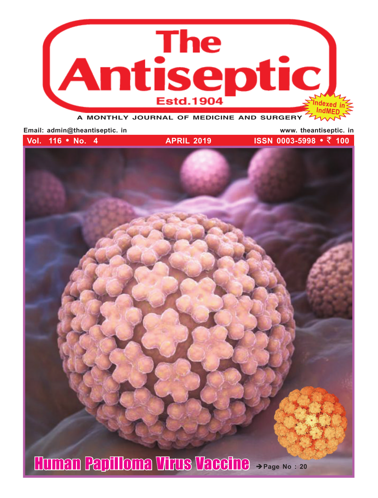

**Email: admin@theantiseptic. in www. theantiseptic. in** 

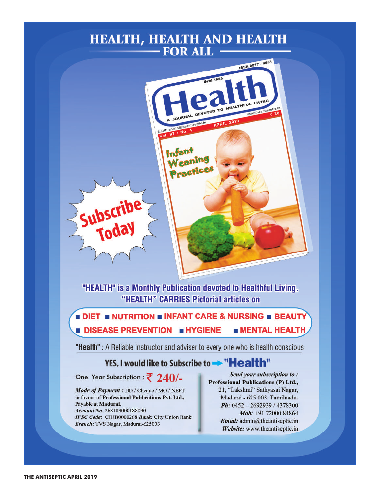# **HEALTH, HEALTH AND HEALTH** FOR ALL -



Payable at Madurai.

Account No. 268109000188090 IFSC Code: CIUB0000268 Bank: City Union Bank Branch: TVS Nagar, Madurai-625003

Madurai - 625 003. Tamilnadu. Ph:  $0452 - 2692939 / 4378300$ Mob: +91 72000 84864 Email: admin@theantiseptic.in Website: www.theantiseptic.in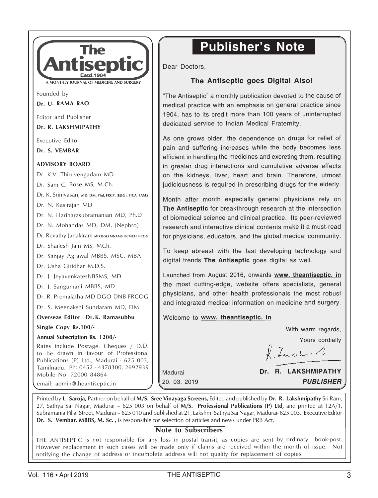

Founded by

**Dr. U. RAMA RAO**

Editor and Publisher

**Dr. R. LAKSHMIPATHY**

Executive Editor

**Dr. S. VEMBAR**

#### **ADVISORY BOARD**

Dr. K.V. Thiruvengadam MD

Dr. Sam C. Bose MS, M.Ch.

Dr. K. Srinivasan, **MD, DM, Phd, FRCP, (E&G), FICA, FAMS**

Dr. N. Kasirajan MD

Dr. N. Hariharasubramanian MD, Ph.D

Dr. N. Mohandas MD, DM, (Nephro)

Dr. Revathy Janakiram **MD DGO MNAMS FICMCH FICOG**

Dr. Shailesh Jain MS, MCh.

Dr. Sanjay Agrawal MBBS, MSC, MBA

Dr. Usha Giridhar M.D.S.

Dr. J. Jeyavenkatesh BSMS, MD

Dr. J. Sangumani MBBS, MD

Dr. R. Premalatha MD DGO DNB FRCOG

Dr. S. Meenakshi Sundaram MD, DM

**Overseas Editor Dr. K. Ramasubbu**

**Single Copy Rs.100/-**

**Annual Subscription Rs. 1200/-** 

Rates include Postage. Cheques / D.D. to be drawn in favour of Professional Publications (P) Ltd., Madurai - 625 003, Tamilnadu. Ph: 0452 - 4378300, 2692939 Mobile No: 72000 84864

email: admin@theantiseptic.in

# **Publisher's Note**

Dear Doctors,

#### **The Antiseptic goes Digital Also!**

"The Antiseptic" a monthly publication devoted to the cause of medical practice with an emphasis on general practice since 1904, has to its credit more than 100 years of uninterrupted dedicated service to Indian Medical Fraternity.

As one grows older, the dependence on drugs for relief of pain and suffering increases while the body becomes less efficient in handling the medicines and excreting them, resulting in greater drug interactions and cumulative adverse effects on the kidneys, liver, heart and brain. Therefore, utmost judiciousness is required in prescribing drugs for the elderly.

Month after month especially general physicians rely on **The Antiseptic** for breakthrough research at the intersection of biomedical science and clinical practice. Its peer-reviewed research and interactive clinical contents make it a must-read for physicians, educators, and the global medical community.

To keep abreast with the fast developing technology and digital trends **The Antiseptic** goes digital as well.

Launched from August 2016, onwards **www. theantiseptic. in** the most cutting-edge, website offers specialists, general physicians, and other health professionals the most robust and integrated medical information on medicine and surgery.

Welcome to **www. theantiseptic. in**

With warm regards,

Yours cordially R. Lansh - 1

**Dr. R. LAKSHMIPATHY** *PUBLISHER*

Printed by **L. Saroja,** Partner on behalf of **M/S. Sree Vinayaga Screens,** Edited and published by **Dr. R. Lakshmipathy** Sri Ram, 27, Sathya Sai Nagar, Madurai – 625 003 on behalf of **M/S. Professional Publications (P) Ltd,** and printed at 12A/1, Subramania Pillai Street, Madurai – 625 010 and published at 21, Lakshmi Sathya Sai Nagar, Madurai- 625 003. Executive Editor **Dr. S. Vembar, MBBS, M. Sc. ,** is responsible for selection of articles and news under PRB Act.

Madurai 20. 03. 2019

#### **Note to Subscribers**

THE ANTISEPTIC is not responsible for any loss in postal transit, as copies are sent by ordinary book-post. However replacement in such cases will be made only if claims are received within the month of issue. Not notifying the change of address or incomplete address will not qualify for replacement of copies.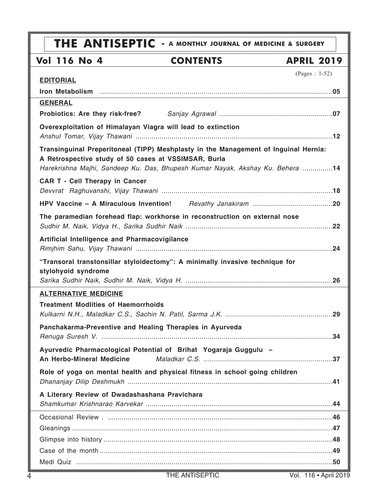## **EDITORIAL Iron Metabolism** *.....................................................................................................................***05 GENERAL Probiotics: Are they risk-free?** *Sanjay Agrawal .........................................................***07 Overexploitation of Himalayan Viagra will lead to extinction** *Anshul Tomar, Vijay Thawani ...................................................................................................***12 Transinguinal Preperitoneal (TIPP) Meshplasty in the Management of Inguinal Hernia: A Retrospective study of 50 cases at VSSIMSAR, Burla** *Harekrishna Majhi, Sandeep Ku. Das, Bhupesh Kumar Nayak, Akshay Ku. Behera ...............***14 CAR T - Cell Therapy in Cancer** *Devvrat Raghuvanshi, Vijay Thawani ......................................................................................***18 HPV Vaccine – A Miraculous Invention!** *Revathy Janakiram ........................................***20 The paramedian forehead flap: workhorse in reconstruction on external nose** *Sudhir M. Naik, Vidya H., Sarika Sudhir Naik ..........................................................................***22 Artificial Intelligence and Pharmacovigilance** *Rimjhim Sahu, Vijay Thawani ...................................................................................................***24 "Transoral transtonsillar styloidectomy": A minimally invasive technique for stylohyoid syndrome** *Sarika Sudhir Naik, Sudhir M. Naik, Vidya H. ..........................................................................***26 ALTERNATIVE MEDICINE Treatment Modlities of Haemorrhoids** *Kulkarni N.H., Maladkar C.S., Sachin N. Patil, Sarma J.K. ......................................................***29 Panchakarma-Preventive and Healing Therapies in Ayurveda** *Renuga Suresh V. ....................................................................................................................***34 Ayurvedic Pharmacological Potential of Brihat Yogaraja Guggulu – An Herbo-Mineral Medicine** *Maladkar C.S. .................................................................***37 Role of yoga on mental health and physical fitness in school going children** *Dhananjay Dilip Deshmukh .......................................................................................................***41 A Literary Review of Dwadashashana Pravichara** *Shamkumar Krishnarao Karvekar ..............................................................................................***44** Occasional Review . .................................................................................................................**46** Gleanings ...................................................................................................................................**47** Glimpse into history ...................................................................................................................**48** Case of the month .....................................................................................................................**49** Medi Quiz .................................................................................................................................**50 THE ANTISEPTIC - A MONTHLY JOURNAL OF MEDICINE & SURGERY Vol 116 No 4 CONTENTS APRIL 2019** (Pages : 1-52)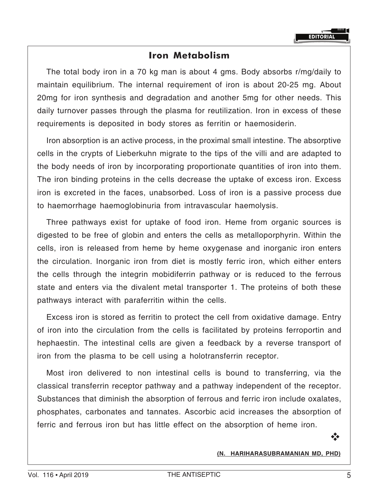## **Iron Metabolism**

The total body iron in a 70 kg man is about 4 gms. Body absorbs r/mg/daily to maintain equilibrium. The internal requirement of iron is about 20-25 mg. About 20mg for iron synthesis and degradation and another 5mg for other needs. This daily turnover passes through the plasma for reutilization. Iron in excess of these requirements is deposited in body stores as ferritin or haemosiderin.

Iron absorption is an active process, in the proximal small intestine. The absorptive cells in the crypts of Lieberkuhn migrate to the tips of the villi and are adapted to the body needs of iron by incorporating proportionate quantities of iron into them. The iron binding proteins in the cells decrease the uptake of excess iron. Excess iron is excreted in the faces, unabsorbed. Loss of iron is a passive process due to haemorrhage haemoglobinuria from intravascular haemolysis.

Three pathways exist for uptake of food iron. Heme from organic sources is digested to be free of globin and enters the cells as metalloporphyrin. Within the cells, iron is released from heme by heme oxygenase and inorganic iron enters the circulation. Inorganic iron from diet is mostly ferric iron, which either enters the cells through the integrin mobidiferrin pathway or is reduced to the ferrous state and enters via the divalent metal transporter 1. The proteins of both these pathways interact with paraferritin within the cells.

Excess iron is stored as ferritin to protect the cell from oxidative damage. Entry of iron into the circulation from the cells is facilitated by proteins ferroportin and hephaestin. The intestinal cells are given a feedback by a reverse transport of iron from the plasma to be cell using a holotransferrin receptor.

Most iron delivered to non intestinal cells is bound to transferring, via the classical transferrin receptor pathway and a pathway independent of the receptor. Substances that diminish the absorption of ferrous and ferric iron include oxalates, phosphates, carbonates and tannates. Ascorbic acid increases the absorption of ferric and ferrous iron but has little effect on the absorption of heme iron.

**(N. Hariharasubramanian MD, Phd)**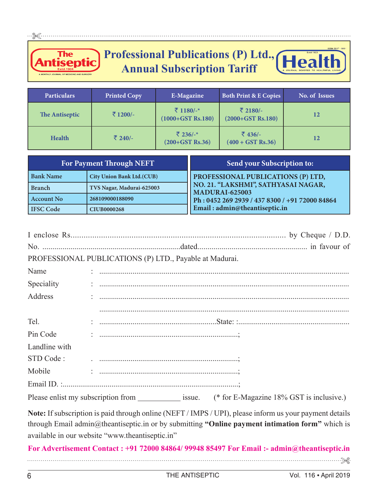# The ıtiseptic

 $\ldots \mathbin\mathbin\mathbin\mathbin\mathbin\mathbin\mathbin\mathbin\mathbb K$ 

### **Professional Publications (P) Ltd., lea Annual Subscription Tariff**

| <b>Particulars</b> | Printed Copy | E-Magazine                                  | <b>Both Print &amp; E Copies</b>  | No. of Issues |
|--------------------|--------------|---------------------------------------------|-----------------------------------|---------------|
| The Antiseptic     | ₹ 1200/-     | ₹ 1180/-*<br>$(1000 + GST \text{ Rs.} 180)$ | र 2180/-<br>$(2000 + GST$ Rs.180) | 12            |
| <b>Health</b>      | ₹ 240/-      | ₹ 236/-*<br>$(200 + GST$ Rs.36)             | ₹ 436/-<br>$(400 + GST Rs.36)$    | 12            |

| <b>For Payment Through NEFT</b> |                                   | <b>Send your Subscription to:</b>                     |  |
|---------------------------------|-----------------------------------|-------------------------------------------------------|--|
| <b>Bank Name</b>                | <b>City Union Bank Ltd. (CUB)</b> | PROFESSIONAL PUBLICATIONS (P) LTD,                    |  |
| <b>Branch</b>                   | TVS Nagar, Madurai-625003         | NO. 21. "LAKSHMI", SATHYASAI NAGAR,<br>MADURAI-625003 |  |
| <b>Account No</b>               | 268109000188090                   | Ph: 0452 269 2939 / 437 8300 / +91 72000 84864        |  |
| <b>IFSC Code</b>                | <b>CIUB0000268</b>                | Email: admin@theantiseptic.in                         |  |

|               | PROFESSIONAL PUBLICATIONS (P) LTD., Payable at Madurai. |
|---------------|---------------------------------------------------------|
| Name          |                                                         |
| Speciality    |                                                         |
| Address       |                                                         |
|               |                                                         |
| Tel.          |                                                         |
| Pin Code      |                                                         |
| Landline with |                                                         |
| STD Code:     |                                                         |
| Mobile        |                                                         |
|               |                                                         |
|               |                                                         |

**Note:** If subscription is paid through online (NEFT / IMPS / UPI), please inform us your payment details through Email admin@theantiseptic.in or by submitting **"Online payment intimation form"** which is available in our website "www.theantiseptic.in"

**For Advertisement Contact : +91 72000 84864/ 99948 85497 For Email :- admin@theantiseptic.in**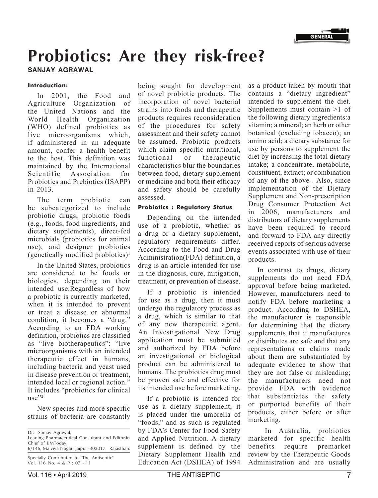

# **Probiotics: Are they risk-free?**

#### **Sanjay Agrawal**

#### **Introduction:**

In 2001, the Food and Agriculture Organization of the United Nations and the<br>World Health Organization World Health (WHO) defined probiotics as live microorganisms which, if administered in an adequate amount, confer a health benefit to the host. This definition was maintained by the International<br>Scientific Association for Association for Probiotics and Prebiotics (ISAPP) in 2013.

The term probiotic can be subcategorized to include probiotic drugs, probiotic foods (e.g., foods, food ingredients, and dietary supplements), direct-fed microbials (probiotics for animal use), and designer probiotics (genetically modified probiotics)1

In the United States, probiotics are considered to be foods or biologics, depending on their intended use.Regardless of how a probiotic is currently marketed, when it is intended to prevent or treat a disease or abnormal condition, it becomes a "drug." According to an FDA working definition, probiotics are classified as "live biotherapeutics": "live microorganisms with an intended therapeutic effect in humans, including bacteria and yeast used in disease prevention or treatment, intended local or regional action." It includes "probiotics for clinical use"<sup>2</sup>

New species and more specific strains of bacteria are constantly

Leading Pharmaceutical Consultant and Editor-in Chief of IJMToday, 6/146, Malviya Nagar, Jaipur -302017. Rajasthan.

being sought for development of novel probiotic products. The incorporation of novel bacterial strains into foods and therapeutic products requires reconsideration of the procedures for safety assessment and their safety cannot be assumed. Probiotic products which claim specific nutritional, functional or therapeutic characteristics blur the boundaries between food, dietary supplement or medicine and both their efficacy and safety should be carefully assessed.

#### **Probiotics : Regulatory Status**

Depending on the intended use of a probiotic, whether as a drug or a dietary supplement, regulatory requirements differ. According to the Food and Drug Administration(FDA) definition, a drug is an article intended for use in the diagnosis, cure, mitigation, treatment, or prevention of disease.

If a probiotic is intended for use as a drug, then it must undergo the regulatory process as a drug, which is similar to that of any new therapeutic agent. An Investigational New Drug application must be submitted and authorized by FDA before an investigational or biological product can be administered to humans. The probiotics drug must be proven safe and effective for its intended use before marketing.

If a probiotic is intended for use as a dietary supplement, it is placed under the umbrella of "foods," and as such is regulated by FDA's Center for Food Safety and Applied Nutrition. A dietary supplement is defined by the Dietary Supplement Health and Education Act (DSHEA) of 1994

as a product taken by mouth that contains a "dietary ingredient" intended to supplement the diet. Supplements must contain >1 of the following dietary ingredients:a vitamin; a mineral; an herb or other botanical (excluding tobacco); an amino acid; a dietary substance for use by persons to supplement the diet by increasing the total dietary intake; a concentrate, metabolite, constituent, extract; or combination of any of the above . Also, since implementation of the Dietary Supplement and Non-prescription Drug Consumer Protection Act in 2006, manufacturers and distributors of dietary supplements have been required to record and forward to FDA any directly received reports of serious adverse events associated with use of their products.

In contrast to drugs, dietary supplements do not need FDA approval before being marketed. However, manufacturers need to notify FDA before marketing a product. According to DSHEA, the manufacturer is responsible for determining that the dietary supplements that it manufactures or distributes are safe and that any representations or claims made about them are substantiated by adequate evidence to show that they are not false or misleading; the manufacturers need not provide FDA with evidence that substantiates the safety or purported benefits of their products, either before or after marketing.

 In Australia, probiotics marketed for specific health benefits require premarket review by the Therapeutic Goods Administration and are usually

Dr. Sanjay Agrawal,

Specially Contributed to "The Antiseptic" Vol. 116 No. 4 & P : 07 - 11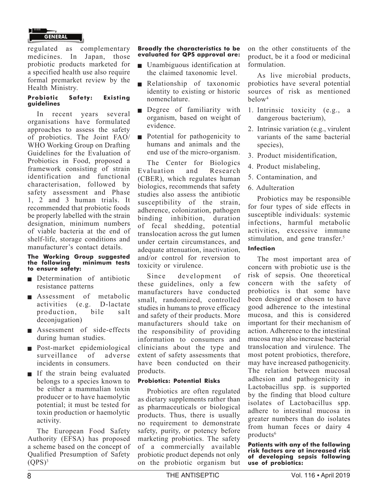

regulated as complementary medicines. In Japan, those probiotic products marketed for a specified health use also require formal premarket review by the Health Ministry.

#### **Probiotic Safety: Existing guidelines**

In recent years several organisations have formulated approaches to assess the safety of probiotics. The Joint FAO/ WHO Working Group on Drafting Guidelines for the Evaluation of Probiotics in Food, proposed a framework consisting of strain identification and functional characterisation, followed by safety assessment and Phase 1, 2 and 3 human trials. It recommended that probiotic foods be properly labelled with the strain designation, minimum numbers of viable bacteria at the end of shelf-life, storage conditions and manufacturer's contact details.

#### **The Working Group suggested the following minimum tests to ensure safety:**

- Determination of antibiotic resistance patterns
- **Assessment of metabolic activities** (e.g. D-lactate activities (e.g. D-lactate<br>production, bile salt production, deconjugation)
- **Assessment** of side-effects during human studies.
- $\Box$  Post-market epidemiological surveillance of adverse incidents in consumers.
- <sup>g</sup> If the strain being evaluated belongs to a species known to be either a mammalian toxin producer or to have haemolytic potential; it must be tested for toxin production or haemolytic activity.

The European Food Safety Authority (EFSA) has proposed a scheme based on the concept of Qualified Presumption of Safety  $(QPS)^3$ 

#### **Broadly the characteristics to be evaluated for QPS approval are:**

- Unambiguous identification at the claimed taxonomic level.
- Relationship of taxonomic identity to existing or historic nomenclature.
- **p** Degree of familiarity with organism, based on weight of evidence.
- $\blacksquare$  Potential for pathogenicity to humans and animals and the end use of the micro-organism.

The Center for Biologics Evaluation and Research (CBER), which regulates human biologics, recommends that safety studies also assess the antibiotic susceptibility of the strain, adherence, colonization, pathogen binding inhibition, duration of fecal shedding, potential translocation across the gut lumen under certain circumstances, and adequate attenuation, inactivation, and/or control for reversion to toxicity or virulence.

Since development of these guidelines, only a few manufacturers have conducted small, randomized, controlled studies in humans to prove efficacy and safety of their products. More manufacturers should take on the responsibility of providing information to consumers and clinicians about the type and extent of safety assessments that have been conducted on their products.

#### **Probiotics: Potential Risks**

Probiotics are often regulated as dietary supplements rather than as pharmaceuticals or biological products. Thus, there is usually no requirement to demonstrate safety, purity, or potency before marketing probiotics. The safety of a commercially available probiotic product depends not only on the probiotic organism but

on the other constituents of the product, be it a food or medicinal formulation.

As live microbial products, probiotics have several potential sources of risk as mentioned below4

- 1. Intrinsic toxicity (e.g., a dangerous bacterium),
- 2. Intrinsic variation (e.g., virulent variants of the same bacterial species),
- 3. Product misidentification,
- 4. Product mislabeling,
- 5. Contamination, and
- 6. Adulteration

Probiotics may be responsible for four types of side effects in susceptible individuals: systemic infections, harmful metabolic activities, excessive immune stimulation, and gene transfer.<sup>5</sup>

#### **Infection**

The most important area of concern with probiotic use is the risk of sepsis. One theoretical concern with the safety of probiotics is that some have been designed or chosen to have good adherence to the intestinal mucosa, and this is considered important for their mechanism of action. Adherence to the intestinal mucosa may also increase bacterial translocation and virulence. The most potent probiotics, therefore, may have increased pathogenicity. The relation between mucosal adhesion and pathogenicity in Lactobacillus spp. is supported by the finding that blood culture isolates of Lactobacillus spp. adhere to intestinal mucosa in greater numbers than do isolates from human feces or dairy 4 products<sup>6</sup>

**Patients with any of the following risk factors are at increased risk of developing sepsis following use of probiotics:**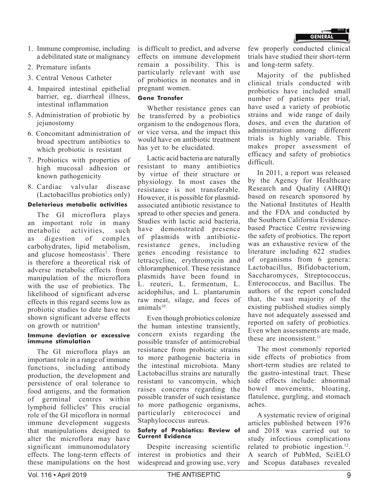- 1. Immune compromise, including a debilitated state or malignancy
- 2. Premature infants
- 3. Central Venous Catheter
- 4. Impaired intestinal epithelial barrier, eg, diarrheal illness, intestinal inflammation
- 5. Administration of probiotic by jejunostomy
- 6. Concomitant administration of broad spectrum antibiotics to which probiotic is resistant
- 7. Probiotics with properties of high mucosal adhesion or known pathogenicity
- 8. Cardiac valvular disease (Lactobacillus probiotics only)

#### **Deleterious metabolic activities**

The GI microflora plays an important role in many metabolic activities, such as digestion of complex carbohydrates, lipid metabolism, and glucose homeostasis<sup>7</sup>. There is therefore a theoretical risk of adverse metabolic effects from manipulation of the microflora with the use of probiotics. The likelihood of significant adverse effects in this regard seems low as probiotic studies to date have not shown significant adverse effects on growth or nutrition<sup>8</sup>

#### **Immune deviation or excessive immune stimulation**

The GI microflora plays an important role in a range of immune functions, including antibody production, the development and persistence of oral tolerance to food antigens, and the formation of germinal centres within lymphoid follicles<sup>9</sup> This crucial role of the GI micoflora in normal immune development suggests that manipulations designed to alter the microflora may have significant immunomodulatory effects. The long-term effects of these manipulations on the host

is difficult to predict, and adverse effects on immune development remain a possibility. This is particularly relevant with use of probiotics in neonates and in pregnant women.

#### **Gene Transfer**

Whether resistance genes can be transferred by a probiotics organism to the endogenous flora, or vice versa, and the impact this would have on antibiotic treatment has yet to be elucidated.

Lactic acid bacteria are naturally resistant to many antibiotics by virtue of their structure or physiology. In most cases the resistance is not transferable. However, it is possible for plasmidassociated antibiotic resistance to spread to other species and genera. Studies with lactic acid bacteria, have demonstrated presence of plasmids with antibioticresistance genes, including genes encoding resistance to tetracycline, erythromycin and chloramphenicol. These resistance plasmids have been found in L. reuteri, L. fermentum, L. acidophilus, and L. plantarumin raw meat, silage, and feces of animal $s^{10}$ 

Even though probiotics colonize the human intestine transiently, concern exists regarding the possible transfer of antimicrobial resistance from probiotic strains to more pathogenic bacteria in the intestinal microbiota. Many Lactobacillus strains are naturally resistant to vancomycin, which raises concerns regarding the possible transfer of such resistance to more pathogenic organisms, particularly enterococci and Staphylococcus aureus.

#### **Safety of Probiotics: Review of Current Evidence**

Despite increasing scientific interest in probiotics and their widespread and growing use, very few properly conducted clinical trials have studied their short-term and long-term safety.

Majority of the published clinical trials conducted with probiotics have included small number of patients per trial, have used a variety of probiotic strains and wide range of daily doses, and even the duration of administration among different trials is highly variable. This makes proper assessment of efficacy and safety of probiotics difficult.

In 2011, a report was released by the Agency for Healthcare Research and Quality (AHRQ) based on research sponsored by the National Institutes of Health and the FDA and conducted by the Southern California Evidencebased Practice Centre reviewing the safety of probiotics. The report was an exhaustive review of the literature including 622 studies of organisms from 6 genera: Lactobacillus, Bifidobacterium, Saccharomyces, Streptococcus, Enterococcus, and Bacillus. The authors of the report concluded that, the vast majority of the existing published studies simply have not adequately assessed and reported on safety of probiotics. Even when assessments are made, these are inconsistent. $11$ 

The most commonly reported side effects of probiotics from short-term studies are related to the gastro-intestinal tract. These side effects include: abnormal bowel movements, bloating, flatulence, gurgling, and stomach aches.

A systematic review of original articles published between 1976 and 2018 was carried out to study infectious complications related to probiotic ingestion.12. A search of PubMed, SciELO and Scopus databases revealed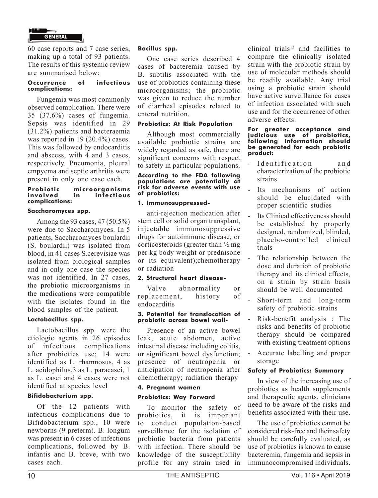60 case reports and 7 case series, making up a total of 93 patients. The results of this systemic review are summarised below:

#### **Occurrence of infectious complications:**

Fungemia was most commonly observed complication. There were 35 (37.6%) cases of fungemia. Sepsis was identified in 29 (31.2%) patients and bacteraemia was reported in 19 (20.4%) cases. This was followed by endocarditis and abscess, with 4 and 3 cases, respectively. Pneumonia, pleural empyema and septic arthritis were present in only one case each.

#### **Probiotic microorganisms**  infectious **complications:**

#### **Saccharomyces spp.**

Among the 93 cases, 47 (50.5%) were due to Saccharomyces. In 5 patients, Saccharomyces boulardii (S. boulardii) was isolated from blood, in 41 cases S.cerevisiae was isolated from biological samples and in only one case the species was not identified. In 27 cases, the probiotic microorganisms in the medications were compatible with the isolates found in the blood samples of the patient.

#### **Lactobacillus spp.**

Lactobacillus spp. were the etiologic agents in 26 episodes of infectious complications after probiotics use; 14 were identified as L. rhamnosus, 4 as L. acidophilus,3 as L. paracasei, 1 as L. casei and 4 cases were not identified at species level

#### **Bifidobacterium spp.**

Of the 12 patients with infectious complications due to Bifidobacterium spp., 10 were newborns (9 preterm). B. longum was present in 6 cases of infectious complications, followed by B. infantis and B. breve, with two cases each.

#### **Bacillus spp.**

One case series described 4 cases of bacteremia caused by B. subtilis associated with the use of probiotics containing these microorganisms; the probiotic was given to reduce the number of diarrheal episodes related to enteral nutrition.

#### **Probiotics: At Risk Population**

Although most commercially available probiotic strains are widely regarded as safe, there are significant concerns with respect to safety in particular populations.

#### **According to the FDA following populations are potentially at risk for adverse events with use of probiotics:**

#### **1. Immunosuppressed-**

anti-rejection medication after stem cell or solid organ transplant, injectable immunosuppressive drugs for autoimmune disease, or corticosteroids (greater than  $\frac{1}{2}$  mg per kg body weight or prednisone or its equivalent);chemotherapy or radiation

#### **2. Structural heart disease-**

Valve abnormality or replacement, history of endocarditis

#### **3. Potential for translocation of probiotic across bowel wall-**

Presence of an active bowel leak, acute abdomen, active intestinal disease including colitis, or significant bowel dysfunction; presence of neutropenia or anticipation of neutropenia after chemotherapy; radiation therapy

#### **4. Pregnant women Probiotics: Way Forward**

To monitor the safety of probiotics, it is important to conduct population-based surveillance for the isolation of probiotic bacteria from patients with infection. There should be knowledge of the susceptibility profile for any strain used in

clinical trials<sup>13</sup> and facilities to compare the clinically isolated strain with the probiotic strain by use of molecular methods should be readily available. Any trial using a probiotic strain should have active surveillance for cases of infection associated with such use and for the occurrence of other adverse effects.

#### **For greater acceptance and judicious use of probiotics, following information should be generated for each probiotic product:**

- I dentification and characterization of the probiotic strains
- Its mechanisms of action should be elucidated with proper scientific studies
- Its Clinical effectiveness should be established by properly designed, randomized, blinded, placebo-controlled clinical trials
- The relationship between the dose and duration of probiotic therapy and its clinical effects, on a strain by strain basis should be well documented
- Short-term and long-term safety of probiotic strains
- Risk-benefit analysis : The risks and benefits of probiotic therapy should be compared with existing treatment options
- Accurate labelling and proper storage

#### **Safety of Probiotics: Summary**

In view of the increasing use of probiotics as health supplements and therapeutic agents, clinicians need to be aware of the risks and benefits associated with their use.

The use of probiotics cannot be considered risk-free and their safety should be carefully evaluated, as use of probiotics is known to cause bacteremia, fungemia and sepsis in immunocompromised individuals.